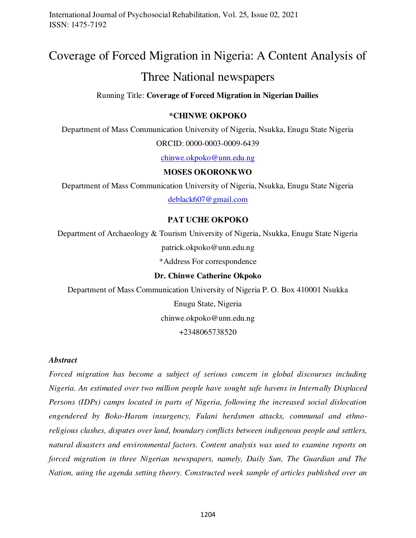# Coverage of Forced Migration in Nigeria: A Content Analysis of

## Three National newspapers

## Running Title: **Coverage of Forced Migration in Nigerian Dailies**

#### **\*CHINWE OKPOKO**

Department of Mass Communication University of Nigeria, Nsukka, Enugu State Nigeria

ORCID: 0000-0003-0009-6439

[chinwe.okpoko@unn.edu.ng](mailto:chinwe.okpoko@unn.edu.ng)

## **MOSES OKORONKWO**

Department of Mass Communication University of Nigeria, Nsukka, Enugu State Nigeria [deblack607@gmail.com](mailto:deblack607@gmail.com)

#### **PAT UCHE OKPOKO**

Department of Archaeology & Tourism University of Nigeria, Nsukka, Enugu State Nigeria patrick.okpoko@unn.edu.ng

\*Address For correspondence

## **Dr. Chinwe Catherine Okpoko**

Department of Mass Communication University of Nigeria P. O. Box 410001 Nsukka Enugu State, Nigeria chinwe.okpoko@unn.edu.ng +2348065738520

#### *Abstract*

*Forced migration has become a subject of serious concern in global discourses including Nigeria. An estimated over two million people have sought safe havens in Internally Displaced Persons (IDPs) camps located in parts of Nigeria, following the increased social dislocation engendered by Boko-Haram insurgency, Fulani herdsmen attacks, communal and ethnoreligious clashes, disputes over land, boundary conflicts between indigenous people and settlers, natural disasters and environmental factors. Content analysis was used to examine reports on forced migration in three Nigerian newspapers, namely, Daily Sun, The Guardian and The Nation, using the agenda setting theory. Constructed week sample of articles published over an*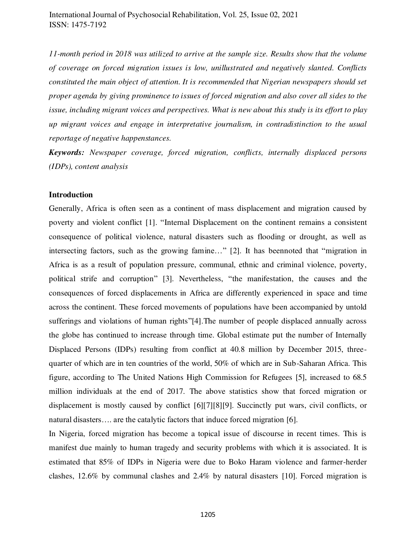*11-month period in 2018 was utilized to arrive at the sample size. Results show that the volume of coverage on forced migration issues is low, unillustrated and negatively slanted. Conflicts constituted the main object of attention. It is recommended that Nigerian newspapers should set proper agenda by giving prominence to issues of forced migration and also cover all sides to the issue, including migrant voices and perspectives. What is new about this study is its effort to play up migrant voices and engage in interpretative journalism, in contradistinction to the usual reportage of negative happenstances.*

*Keywords: Newspaper coverage, forced migration, conflicts, internally displaced persons (IDPs), content analysis* 

#### **Introduction**

Generally, Africa is often seen as a continent of mass displacement and migration caused by poverty and violent conflict [1]. "Internal Displacement on the continent remains a consistent consequence of political violence, natural disasters such as flooding or drought, as well as intersecting factors, such as the growing famine…" [2]. It has beennoted that "migration in Africa is as a result of population pressure, communal, ethnic and criminal violence, poverty, political strife and corruption" [3]. Nevertheless, "the manifestation, the causes and the consequences of forced displacements in Africa are differently experienced in space and time across the continent. These forced movements of populations have been accompanied by untold sufferings and violations of human rights"[4].The number of people displaced annually across the globe has continued to increase through time. Global estimate put the number of Internally Displaced Persons (IDPs) resulting from conflict at 40.8 million by December 2015, threequarter of which are in ten countries of the world, 50% of which are in Sub-Saharan Africa. This figure, according to The United Nations High Commission for Refugees [5], increased to 68.5 million individuals at the end of 2017. The above statistics show that forced migration or displacement is mostly caused by conflict [6][7][8][9]. Succinctly put wars, civil conflicts, or natural disasters…. are the catalytic factors that induce forced migration [6].

In Nigeria, forced migration has become a topical issue of discourse in recent times. This is manifest due mainly to human tragedy and security problems with which it is associated. It is estimated that 85% of IDPs in Nigeria were due to Boko Haram violence and farmer-herder clashes, 12.6% by communal clashes and 2.4% by natural disasters [10]. Forced migration is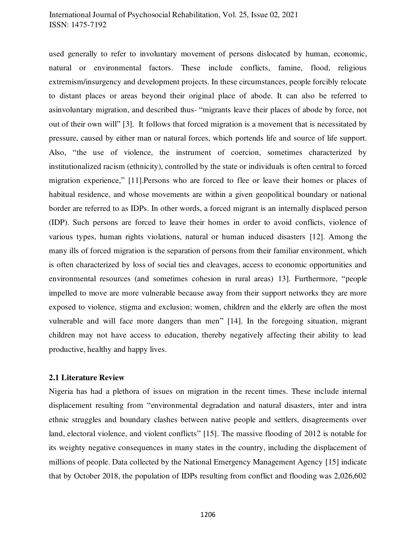used generally to refer to involuntary movement of persons dislocated by human, economic, natural or environmental factors. These include conflicts, famine, flood, religious extremism/insurgency and development projects. In these circumstances, people forcibly relocate to distant places or areas beyond their original place of abode. It can also be referred to asinvoluntary migration, and described thus- "migrants leave their places of abode by force, not out of their own will" [3]. It follows that forced migration is a movement that is necessitated by pressure, caused by either man or natural forces, which portends life and source of life support. Also, "the use of violence, the instrument of coercion, sometimes characterized by institutionalized racism (ethnicity), controlled by the state or individuals is often central to forced migration experience," [11].Persons who are forced to flee or leave their homes or places of habitual residence, and whose movements are within a given geopolitical boundary or national border are referred to as IDPs. In other words, a forced migrant is an internally displaced person (IDP). Such persons are forced to leave their homes in order to avoid conflicts, violence of various types, human rights violations, natural or human induced disasters [12]. Among the many ills of forced migration is the separation of persons from their familiar environment, which is often characterized by loss of social ties and cleavages, access to economic opportunities and environmental resources (and sometimes cohesion in rural areas) 13]. Furthermore, "people impelled to move are more vulnerable because away from their support networks they are more exposed to violence, stigma and exclusion; women, children and the elderly are often the most vulnerable and will face more dangers than men" [14]. In the foregoing situation, migrant children may not have access to education, thereby negatively affecting their ability to lead productive, healthy and happy lives.

#### **2.1 Literature Review**

Nigeria has had a plethora of issues on migration in the recent times. These include internal displacement resulting from "environmental degradation and natural disasters, inter and intra ethnic struggles and boundary clashes between native people and settlers, disagreements over land, electoral violence, and violent conflicts" [15]. The massive flooding of 2012 is notable for its weighty negative consequences in many states in the country, including the displacement of millions of people. Data collected by the National Emergency Management Agency [15] indicate that by October 2018, the population of IDPs resulting from conflict and flooding was 2,026,602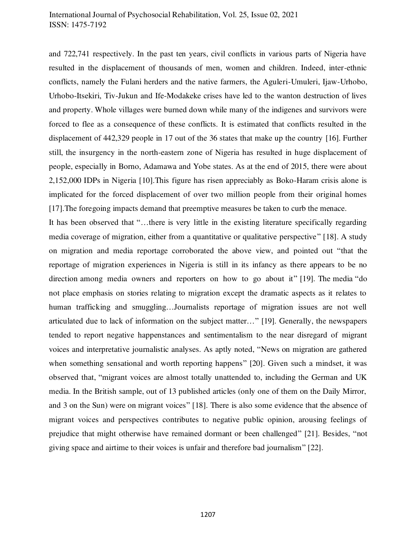and 722,741 respectively. In the past ten years, civil conflicts in various parts of Nigeria have resulted in the displacement of thousands of men, women and children. Indeed, inter-ethnic conflicts, namely the Fulani herders and the native farmers, the Aguleri-Umuleri, Ijaw-Urhobo, Urhobo-Itsekiri, Tiv-Jukun and Ife-Modakeke crises have led to the wanton destruction of lives and property. Whole villages were burned down while many of the indigenes and survivors were forced to flee as a consequence of these conflicts. It is estimated that conflicts resulted in the displacement of 442,329 people in 17 out of the 36 states that make up the country [16]. Further still, the insurgency in the north-eastern zone of Nigeria has resulted in huge displacement of people, especially in Borno, Adamawa and Yobe states. As at the end of 2015, there were about 2,152,000 IDPs in Nigeria [10].This figure has risen appreciably as Boko-Haram crisis alone is implicated for the forced displacement of over two million people from their original homes [17].The foregoing impacts demand that preemptive measures be taken to curb the menace.

It has been observed that "…there is very little in the existing literature specifically regarding media coverage of migration, either from a quantitative or qualitative perspective" [18]. A study on migration and media reportage corroborated the above view, and pointed out "that the reportage of migration experiences in Nigeria is still in its infancy as there appears to be no direction among media owners and reporters on how to go about it" [19]. The media "do not place emphasis on stories relating to migration except the dramatic aspects as it relates to human trafficking and smuggling...Journalists reportage of migration issues are not well articulated due to lack of information on the subject matter…" [19]. Generally, the newspapers tended to report negative happenstances and sentimentalism to the near disregard of migrant voices and interpretative journalistic analyses. As aptly noted, "News on migration are gathered when something sensational and worth reporting happens" [20]. Given such a mindset, it was observed that, "migrant voices are almost totally unattended to, including the German and UK media. In the British sample, out of 13 published articles (only one of them on the Daily Mirror, and 3 on the Sun) were on migrant voices" [18]. There is also some evidence that the absence of migrant voices and perspectives contributes to negative public opinion, arousing feelings of prejudice that might otherwise have remained dormant or been challenged" [21]. Besides, "not giving space and airtime to their voices is unfair and therefore bad journalism" [22].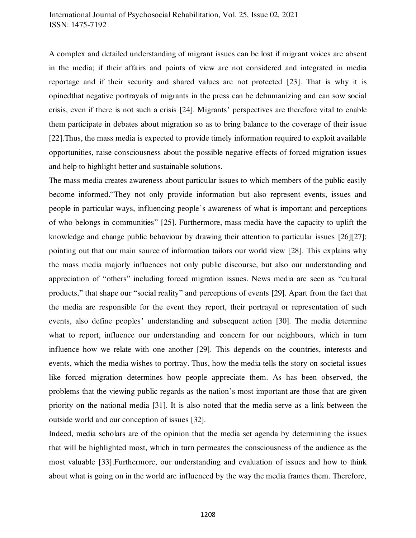A complex and detailed understanding of migrant issues can be lost if migrant voices are absent in the media; if their affairs and points of view are not considered and integrated in media reportage and if their security and shared values are not protected [23]. That is why it is opinedthat negative portrayals of migrants in the press can be dehumanizing and can sow social crisis, even if there is not such a crisis [24]. Migrants' perspectives are therefore vital to enable them participate in debates about migration so as to bring balance to the coverage of their issue [22].Thus, the mass media is expected to provide timely information required to exploit available opportunities, raise consciousness about the possible negative effects of forced migration issues and help to highlight better and sustainable solutions.

The mass media creates awareness about particular issues to which members of the public easily become informed."They not only provide information but also represent events, issues and people in particular ways, influencing people's awareness of what is important and perceptions of who belongs in communities" [25]. Furthermore, mass media have the capacity to uplift the knowledge and change public behaviour by drawing their attention to particular issues [26][27]; pointing out that our main source of information tailors our world view [28]. This explains why the mass media majorly influences not only public discourse, but also our understanding and appreciation of "others" including forced migration issues. News media are seen as "cultural products," that shape our "social reality" and perceptions of events [29]. Apart from the fact that the media are responsible for the event they report, their portrayal or representation of such events, also define peoples' understanding and subsequent action [30]. The media determine what to report, influence our understanding and concern for our neighbours, which in turn influence how we relate with one another [29]. This depends on the countries, interests and events, which the media wishes to portray. Thus, how the media tells the story on societal issues like forced migration determines how people appreciate them. As has been observed, the problems that the viewing public regards as the nation's most important are those that are given priority on the national media [31]. It is also noted that the media serve as a link between the outside world and our conception of issues [32].

Indeed, media scholars are of the opinion that the media set agenda by determining the issues that will be highlighted most, which in turn permeates the consciousness of the audience as the most valuable [33].Furthermore, our understanding and evaluation of issues and how to think about what is going on in the world are influenced by the way the media frames them. Therefore,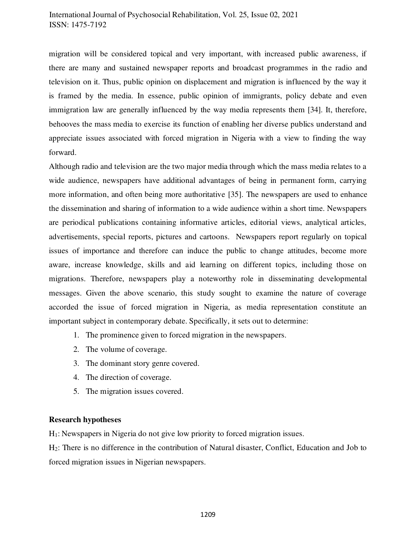migration will be considered topical and very important, with increased public awareness, if there are many and sustained newspaper reports and broadcast programmes in the radio and television on it. Thus, public opinion on displacement and migration is influenced by the way it is framed by the media. In essence, public opinion of immigrants, policy debate and even immigration law are generally influenced by the way media represents them [34]. It, therefore, behooves the mass media to exercise its function of enabling her diverse publics understand and appreciate issues associated with forced migration in Nigeria with a view to finding the way forward.

Although radio and television are the two major media through which the mass media relates to a wide audience, newspapers have additional advantages of being in permanent form, carrying more information, and often being more authoritative [35]. The newspapers are used to enhance the dissemination and sharing of information to a wide audience within a short time. Newspapers are periodical publications containing informative articles, editorial views, analytical articles, advertisements, special reports, pictures and cartoons. Newspapers report regularly on topical issues of importance and therefore can induce the public to change attitudes, become more aware, increase knowledge, skills and aid learning on different topics, including those on migrations. Therefore, newspapers play a noteworthy role in disseminating developmental messages. Given the above scenario, this study sought to examine the nature of coverage accorded the issue of forced migration in Nigeria, as media representation constitute an important subject in contemporary debate. Specifically, it sets out to determine:

- 1. The prominence given to forced migration in the newspapers.
- 2. The volume of coverage.
- 3. The dominant story genre covered.
- 4. The direction of coverage.
- 5. The migration issues covered.

### **Research hypotheses**

H1: Newspapers in Nigeria do not give low priority to forced migration issues.

H2: There is no difference in the contribution of Natural disaster, Conflict, Education and Job to forced migration issues in Nigerian newspapers.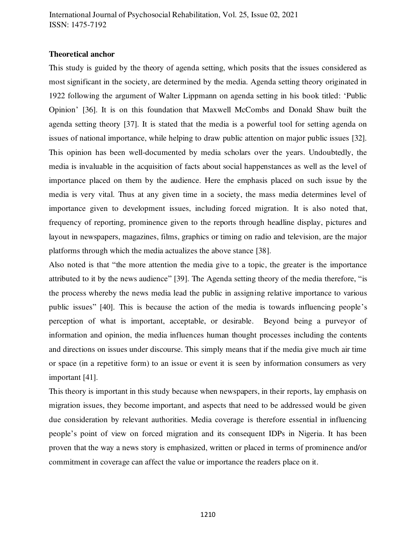#### **Theoretical anchor**

This study is guided by the theory of agenda setting, which posits that the issues considered as most significant in the society, are determined by the media. Agenda setting theory originated in 1922 following the argument of Walter Lippmann on agenda setting in his book titled: 'Public Opinion' [36]. It is on this foundation that Maxwell McCombs and Donald Shaw built the agenda setting theory [37]. It is stated that the media is a powerful tool for setting agenda on issues of national importance, while helping to draw public attention on major public issues [32]. This opinion has been well-documented by media scholars over the years. Undoubtedly, the media is invaluable in the acquisition of facts about social happenstances as well as the level of importance placed on them by the audience. Here the emphasis placed on such issue by the media is very vital. Thus at any given time in a society, the mass media determines level of importance given to development issues, including forced migration. It is also noted that, frequency of reporting, prominence given to the reports through headline display, pictures and layout in newspapers, magazines, films, graphics or timing on radio and television, are the major platforms through which the media actualizes the above stance [38].

Also noted is that "the more attention the media give to a topic, the greater is the importance attributed to it by the news audience" [39]. The Agenda setting theory of the media therefore, "is the process whereby the news media lead the public in assigning relative importance to various public issues" [40]. This is because the action of the media is towards influencing people's perception of what is important, acceptable, or desirable. Beyond being a purveyor of information and opinion, the media influences human thought processes including the contents and directions on issues under discourse. This simply means that if the media give much air time or space (in a repetitive form) to an issue or event it is seen by information consumers as very important [41].

This theory is important in this study because when newspapers, in their reports, lay emphasis on migration issues, they become important, and aspects that need to be addressed would be given due consideration by relevant authorities. Media coverage is therefore essential in influencing people's point of view on forced migration and its consequent IDPs in Nigeria. It has been proven that the way a news story is emphasized, written or placed in terms of prominence and/or commitment in coverage can affect the value or importance the readers place on it.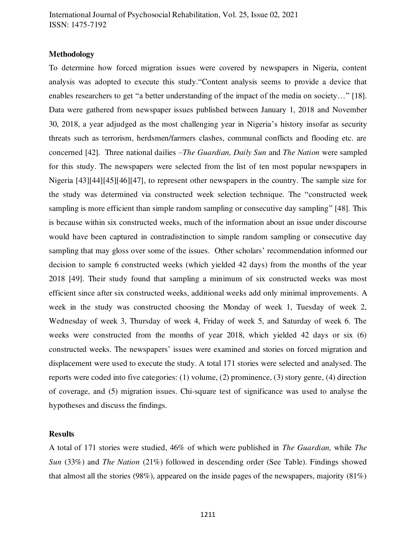#### **Methodology**

To determine how forced migration issues were covered by newspapers in Nigeria, content analysis was adopted to execute this study."Content analysis seems to provide a device that enables researchers to get "a better understanding of the impact of the media on society…" [18]. Data were gathered from newspaper issues published between January 1, 2018 and November 30, 2018, a year adjudged as the most challenging year in Nigeria's history insofar as security threats such as terrorism, herdsmen/farmers clashes, communal conflicts and flooding etc. are concerned [42]. Three national dailies –*The Guardian, Daily Sun* and *The Nation* were sampled for this study. The newspapers were selected from the list of ten most popular newspapers in Nigeria [43][44][45][46][47], to represent other newspapers in the country. The sample size for the study was determined via constructed week selection technique. The "constructed week sampling is more efficient than simple random sampling or consecutive day sampling" [48]. This is because within six constructed weeks, much of the information about an issue under discourse would have been captured in contradistinction to simple random sampling or consecutive day sampling that may gloss over some of the issues. Other scholars' recommendation informed our decision to sample 6 constructed weeks (which yielded 42 days) from the months of the year 2018 [49]. Their study found that sampling a minimum of six constructed weeks was most efficient since after six constructed weeks, additional weeks add only minimal improvements. A week in the study was constructed choosing the Monday of week 1, Tuesday of week 2, Wednesday of week 3, Thursday of week 4, Friday of week 5, and Saturday of week 6. The weeks were constructed from the months of year 2018, which yielded 42 days or six (6) constructed weeks. The newspapers' issues were examined and stories on forced migration and displacement were used to execute the study. A total 171 stories were selected and analysed. The reports were coded into five categories: (1) volume, (2) prominence, (3) story genre, (4) direction of coverage, and (5) migration issues. Chi-square test of significance was used to analyse the hypotheses and discuss the findings.

#### **Results**

A total of 171 stories were studied, 46% of which were published in *The Guardian,* while *The Sun* (33%) and *The Nation* (21%) followed in descending order (See Table). Findings showed that almost all the stories (98%), appeared on the inside pages of the newspapers, majority (81%)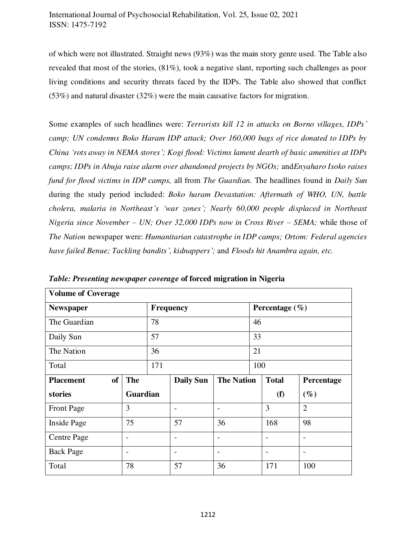of which were not illustrated. Straight news (93%) was the main story genre used. The Table also revealed that most of the stories, (81%), took a negative slant, reporting such challenges as poor living conditions and security threats faced by the IDPs. The Table also showed that conflict (53%) and natural disaster (32%) were the main causative factors for migration.

Some examples of such headlines were: *Terrorists kill 12 in attacks on Borno villages, IDPs' camp; UN condemns Boko Haram IDP attack; Over 160,000 bags of rice donated to IDPs by China 'rots away in NEMA stores'; Kogi flood: Victims lament dearth of basic amenities at IDPs camps; IDPs in Abuja raise alarm over abandoned projects by NGOs;* and*Enyaharo Isoko raises fund for flood victims in IDP camps,* all from *The Guardian.* The headlines found in *Daily Sun*  during the study period included: *Boko haram Devastation: Aftermath of WHO, UN, battle cholera, malaria in Northeast's 'war zones'; Nearly 60,000 people displaced in Northeast Nigeria since November – UN; Over 32,000 IDPs now in Cross River – SEMA;* while those of *The Nation* newspaper were: *Humanitarian catastrophe in IDP camps; Ortom: Federal agencies have failed Benue; Tackling bandits', kidnappers';* and *Floods hit Anambra again, etc.* 

| <b>Volume of Coverage</b>     |                          |           |                  |                   |     |                    |                |  |
|-------------------------------|--------------------------|-----------|------------------|-------------------|-----|--------------------|----------------|--|
| <b>Newspaper</b>              |                          | Frequency |                  |                   |     | Percentage $(\% )$ |                |  |
| The Guardian                  |                          | 78        |                  |                   | 46  |                    |                |  |
| Daily Sun                     |                          |           | 57               |                   |     | 33                 |                |  |
| The Nation                    |                          |           | 36               |                   |     | 21                 |                |  |
| Total                         |                          |           | 171              |                   | 100 |                    |                |  |
| <b>of</b><br><b>Placement</b> | <b>The</b>               |           | <b>Daily Sun</b> | <b>The Nation</b> |     | <b>Total</b>       | Percentage     |  |
| stories                       | <b>Guardian</b>          |           |                  |                   |     | (f)                | $(\%)$         |  |
| <b>Front Page</b>             | 3                        |           |                  |                   |     | 3                  | $\overline{2}$ |  |
| <b>Inside Page</b>            | 75                       |           | 57               | 36                |     | 168                | 98             |  |
| <b>Centre Page</b>            | $\overline{\phantom{a}}$ |           |                  |                   |     |                    |                |  |
| <b>Back Page</b>              | $\overline{\phantom{a}}$ |           |                  |                   |     |                    |                |  |
| Total                         | 78                       |           | 57               | 36                |     | 171                | 100            |  |

*Table: Presenting newspaper coverage* **of forced migration in Nigeria**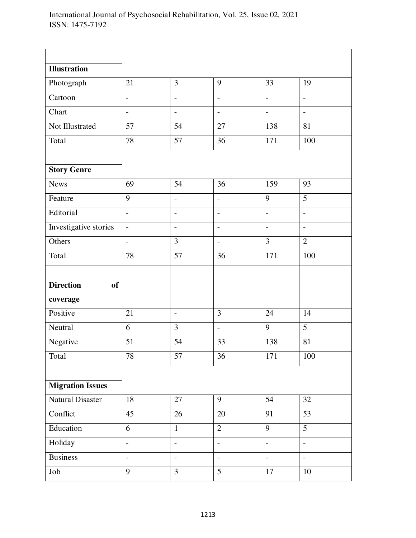| <b>Illustration</b>           |                |                          |                          |                          |                          |
|-------------------------------|----------------|--------------------------|--------------------------|--------------------------|--------------------------|
| Photograph                    | 21             | 3                        | 9                        | 33                       | 19                       |
| Cartoon                       | $\overline{a}$ | $\overline{a}$           | $\overline{\phantom{0}}$ | $\overline{a}$           | $\overline{a}$           |
| Chart                         | $\overline{a}$ | $\overline{\phantom{a}}$ | $\overline{\phantom{a}}$ | $\frac{1}{2}$            | $\overline{a}$           |
| Not Illustrated               | 57             | 54                       | 27                       | 138                      | 81                       |
| Total                         | 78             | 57                       | 36                       | 171                      | 100                      |
|                               |                |                          |                          |                          |                          |
| <b>Story Genre</b>            |                |                          |                          |                          |                          |
| <b>News</b>                   | 69             | 54                       | 36                       | 159                      | 93                       |
| Feature                       | 9              | $\overline{\phantom{a}}$ | $\overline{\phantom{a}}$ | 9                        | 5                        |
| Editorial                     | $\overline{a}$ | $\overline{\phantom{a}}$ | $\overline{\phantom{a}}$ | $\overline{\phantom{a}}$ | $\overline{\phantom{0}}$ |
| Investigative stories         | $\overline{a}$ | $\overline{\phantom{a}}$ | $\overline{\phantom{a}}$ | $\frac{1}{2}$            | $\overline{\phantom{a}}$ |
| Others                        | $\overline{a}$ | 3                        | $\overline{\phantom{a}}$ | 3                        | $\overline{2}$           |
| Total                         | 78             | 57                       | 36                       | 171                      | 100                      |
|                               |                |                          |                          |                          |                          |
| <b>Direction</b><br><b>of</b> |                |                          |                          |                          |                          |
| coverage                      |                |                          |                          |                          |                          |
| Positive                      | 21             | $\overline{a}$           | 3                        |                          |                          |
|                               |                |                          |                          | 24                       | 14                       |
| Neutral                       | 6              | 3                        | $\overline{\phantom{m}}$ | 9                        | 5                        |
| Negative                      | 51             | 54                       | 33                       | 138                      | 81                       |
| Total                         | 78             | 57                       | 36                       | 171                      | 100                      |
|                               |                |                          |                          |                          |                          |
| <b>Migration Issues</b>       |                |                          |                          |                          |                          |
| <b>Natural Disaster</b>       | 18             | $27\,$                   | 9                        | 54                       | 32                       |
| Conflict                      | 45             | 26                       | 20                       | 91                       | 53                       |
| Education                     | 6              | $\mathbf{1}$             | $\overline{2}$           | $\overline{9}$           | 5                        |
| Holiday                       | $\frac{1}{2}$  | $\overline{\phantom{m}}$ | $\blacksquare$           | $\overline{a}$           | $\blacksquare$           |
| <b>Business</b>               | $\frac{1}{2}$  | $\overline{\phantom{a}}$ | $\overline{\phantom{m}}$ | $\overline{\phantom{a}}$ | $\overline{\phantom{0}}$ |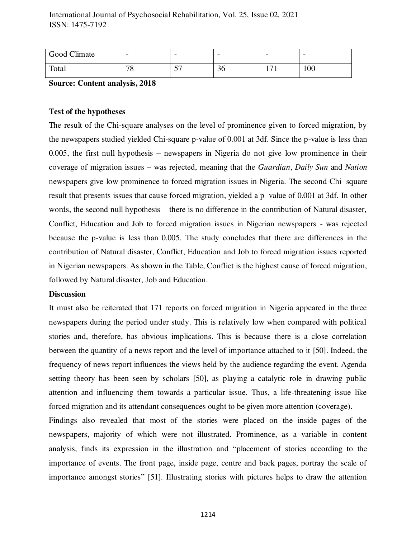| Good Climate | -       | $\overline{\phantom{0}}$      | $\overline{\phantom{m}}$ | $\overline{\phantom{0}}$ | $\overline{\phantom{0}}$ |
|--------------|---------|-------------------------------|--------------------------|--------------------------|--------------------------|
| Total        | 70<br>v | $\overline{\phantom{a}}$<br>ັ | 36                       | $1 - 1$<br>1 / 1         | 100                      |

**Source: Content analysis, 2018** 

## **Test of the hypotheses**

The result of the Chi-square analyses on the level of prominence given to forced migration, by the newspapers studied yielded Chi-square p-value of 0.001 at 3df. Since the p-value is less than 0.005, the first null hypothesis – newspapers in Nigeria do not give low prominence in their coverage of migration issues – was rejected, meaning that the *Guardian*, *Daily Sun* and *Nation* newspapers give low prominence to forced migration issues in Nigeria. The second Chi–square result that presents issues that cause forced migration, yielded a p–value of 0.001 at 3df. In other words, the second null hypothesis – there is no difference in the contribution of Natural disaster, Conflict, Education and Job to forced migration issues in Nigerian newspapers - was rejected because the p-value is less than 0.005. The study concludes that there are differences in the contribution of Natural disaster, Conflict, Education and Job to forced migration issues reported in Nigerian newspapers. As shown in the Table, Conflict is the highest cause of forced migration, followed by Natural disaster, Job and Education.

#### **Discussion**

It must also be reiterated that 171 reports on forced migration in Nigeria appeared in the three newspapers during the period under study. This is relatively low when compared with political stories and, therefore, has obvious implications. This is because there is a close correlation between the quantity of a news report and the level of importance attached to it [50]. Indeed, the frequency of news report influences the views held by the audience regarding the event. Agenda setting theory has been seen by scholars [50], as playing a catalytic role in drawing public attention and influencing them towards a particular issue. Thus, a life-threatening issue like forced migration and its attendant consequences ought to be given more attention (coverage).

Findings also revealed that most of the stories were placed on the inside pages of the newspapers, majority of which were not illustrated. Prominence, as a variable in content analysis, finds its expression in the illustration and "placement of stories according to the importance of events. The front page, inside page, centre and back pages, portray the scale of importance amongst stories" [51]. Illustrating stories with pictures helps to draw the attention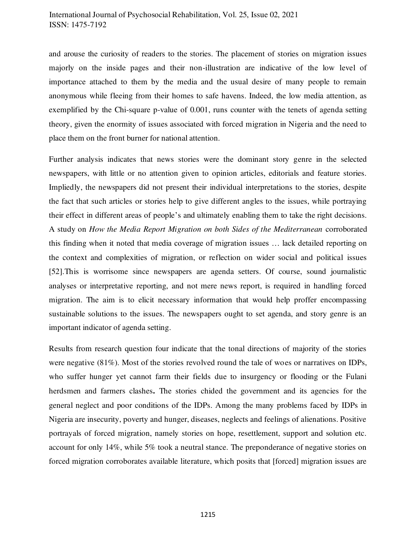and arouse the curiosity of readers to the stories. The placement of stories on migration issues majorly on the inside pages and their non-illustration are indicative of the low level of importance attached to them by the media and the usual desire of many people to remain anonymous while fleeing from their homes to safe havens. Indeed, the low media attention, as exemplified by the Chi-square p-value of 0.001, runs counter with the tenets of agenda setting theory, given the enormity of issues associated with forced migration in Nigeria and the need to place them on the front burner for national attention.

Further analysis indicates that news stories were the dominant story genre in the selected newspapers, with little or no attention given to opinion articles, editorials and feature stories. Impliedly, the newspapers did not present their individual interpretations to the stories, despite the fact that such articles or stories help to give different angles to the issues, while portraying their effect in different areas of people's and ultimately enabling them to take the right decisions. A study on *How the Media Report Migration on both Sides of the Mediterranean* corroborated this finding when it noted that media coverage of migration issues … lack detailed reporting on the context and complexities of migration, or reflection on wider social and political issues [52].This is worrisome since newspapers are agenda setters. Of course, sound journalistic analyses or interpretative reporting, and not mere news report, is required in handling forced migration. The aim is to elicit necessary information that would help proffer encompassing sustainable solutions to the issues. The newspapers ought to set agenda, and story genre is an important indicator of agenda setting.

Results from research question four indicate that the tonal directions of majority of the stories were negative (81%). Most of the stories revolved round the tale of woes or narratives on IDPs, who suffer hunger yet cannot farm their fields due to insurgency or flooding or the Fulani herdsmen and farmers clashes**.** The stories chided the government and its agencies for the general neglect and poor conditions of the IDPs. Among the many problems faced by IDPs in Nigeria are insecurity, poverty and hunger, diseases, neglects and feelings of alienations. Positive portrayals of forced migration, namely stories on hope, resettlement, support and solution etc. account for only 14%, while 5% took a neutral stance. The preponderance of negative stories on forced migration corroborates available literature, which posits that [forced] migration issues are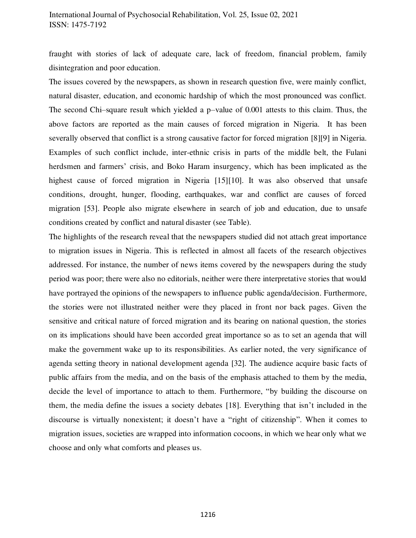fraught with stories of lack of adequate care, lack of freedom, financial problem, family disintegration and poor education.

The issues covered by the newspapers, as shown in research question five, were mainly conflict, natural disaster, education, and economic hardship of which the most pronounced was conflict. The second Chi–square result which yielded a p–value of 0.001 attests to this claim. Thus, the above factors are reported as the main causes of forced migration in Nigeria. It has been severally observed that conflict is a strong causative factor for forced migration [8][9] in Nigeria. Examples of such conflict include, inter-ethnic crisis in parts of the middle belt, the Fulani herdsmen and farmers' crisis, and Boko Haram insurgency, which has been implicated as the highest cause of forced migration in Nigeria [15][10]. It was also observed that unsafe conditions, drought, hunger, flooding, earthquakes, war and conflict are causes of forced migration [53]. People also migrate elsewhere in search of job and education, due to unsafe conditions created by conflict and natural disaster (see Table).

The highlights of the research reveal that the newspapers studied did not attach great importance to migration issues in Nigeria. This is reflected in almost all facets of the research objectives addressed. For instance, the number of news items covered by the newspapers during the study period was poor; there were also no editorials, neither were there interpretative stories that would have portrayed the opinions of the newspapers to influence public agenda/decision. Furthermore, the stories were not illustrated neither were they placed in front nor back pages. Given the sensitive and critical nature of forced migration and its bearing on national question, the stories on its implications should have been accorded great importance so as to set an agenda that will make the government wake up to its responsibilities. As earlier noted, the very significance of agenda setting theory in national development agenda [32]. The audience acquire basic facts of public affairs from the media, and on the basis of the emphasis attached to them by the media, decide the level of importance to attach to them. Furthermore, "by building the discourse on them, the media define the issues a society debates [18]. Everything that isn't included in the discourse is virtually nonexistent; it doesn't have a "right of citizenship". When it comes to migration issues, societies are wrapped into information cocoons, in which we hear only what we choose and only what comforts and pleases us.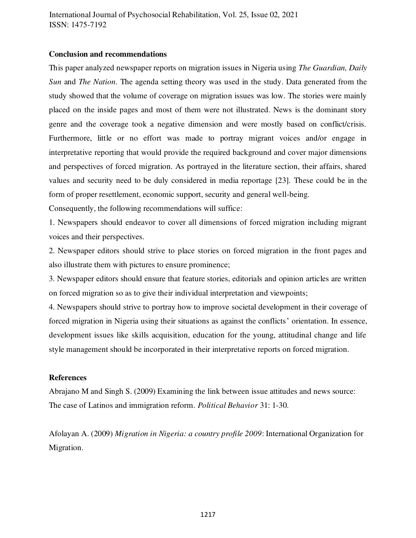## **Conclusion and recommendations**

This paper analyzed newspaper reports on migration issues in Nigeria using *The Guardian, Daily Sun* and *The Nation.* The agenda setting theory was used in the study. Data generated from the study showed that the volume of coverage on migration issues was low. The stories were mainly placed on the inside pages and most of them were not illustrated. News is the dominant story genre and the coverage took a negative dimension and were mostly based on conflict/crisis. Furthermore, little or no effort was made to portray migrant voices and/or engage in interpretative reporting that would provide the required background and cover major dimensions and perspectives of forced migration. As portrayed in the literature section, their affairs, shared values and security need to be duly considered in media reportage [23]. These could be in the form of proper resettlement, economic support, security and general well-being.

Consequently, the following recommendations will suffice:

1. Newspapers should endeavor to cover all dimensions of forced migration including migrant voices and their perspectives.

2. Newspaper editors should strive to place stories on forced migration in the front pages and also illustrate them with pictures to ensure prominence;

3. Newspaper editors should ensure that feature stories, editorials and opinion articles are written on forced migration so as to give their individual interpretation and viewpoints;

4. Newspapers should strive to portray how to improve societal development in their coverage of forced migration in Nigeria using their situations as against the conflicts' orientation. In essence, development issues like skills acquisition, education for the young, attitudinal change and life style management should be incorporated in their interpretative reports on forced migration.

### **References**

Abrajano M and Singh S. (2009) Examining the link between issue attitudes and news source: The case of Latinos and immigration reform. *Political Behavior* 31: 1-30.

Afolayan A. (2009) *Migration in Nigeria: a country profile 2009*: International Organization for Migration.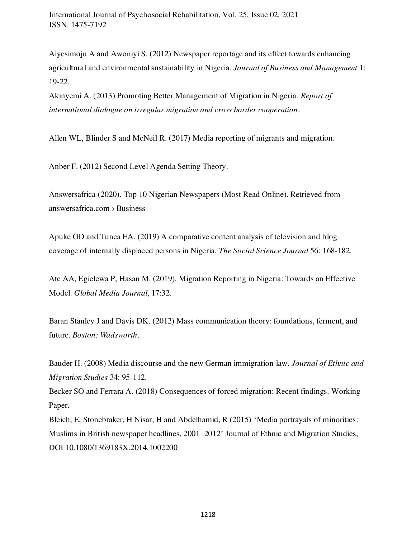Aiyesimoju A and Awoniyi S. (2012) Newspaper reportage and its effect towards enhancing agricultural and environmental sustainability in Nigeria. *Journal of Business and Management* 1: 19-22.

Akinyemi A. (2013) Promoting Better Management of Migration in Nigeria. *Report of international dialogue on irregular migration and cross border cooperation*.

Allen WL, Blinder S and McNeil R. (2017) Media reporting of migrants and migration.

Anber F. (2012) Second Level Agenda Setting Theory.

Answersafrica (2020). Top 10 Nigerian Newspapers (Most Read Online). Retrieved from answersafrica.com › Business

Apuke OD and Tunca EA. (2019) A comparative content analysis of television and blog coverage of internally displaced persons in Nigeria. *The Social Science Journal* 56: 168-182.

Ate AA, Egielewa P, Hasan M. (2019). Migration Reporting in Nigeria: Towards an Effective Model. *Global Media Journal*, 17:32.

Baran Stanley J and Davis DK. (2012) Mass communication theory: foundations, ferment, and future. *Boston: Wadsworth*.

Bauder H. (2008) Media discourse and the new German immigration law. *Journal of Ethnic and Migration Studies* 34: 95-112.

Becker SO and Ferrara A. (2018) Consequences of forced migration: Recent findings. Working Paper.

Bleich, E, Stonebraker, H Nisar, H and Abdelhamid, R (2015) 'Media portrayals of minorities: Muslims in British newspaper headlines, 2001–2012' Journal of Ethnic and Migration Studies, DOI 10.1080/1369183X.2014.1002200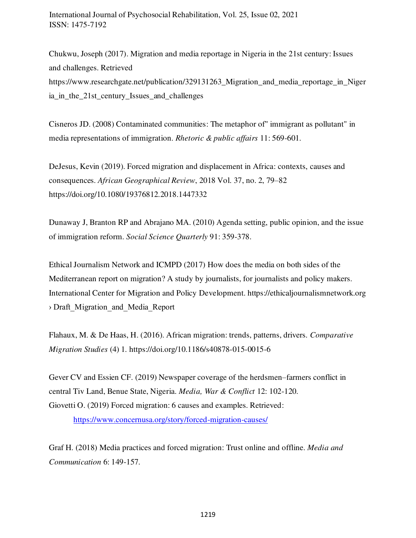Chukwu, Joseph (2017). Migration and media reportage in Nigeria in the 21st century: Issues and challenges. Retrieved https://www.researchgate.net/publication/329131263\_Migration\_and\_media\_reportage\_in\_Niger ia\_in\_the\_21st\_century\_Issues\_and\_challenges

Cisneros JD. (2008) Contaminated communities: The metaphor of" immigrant as pollutant" in media representations of immigration. *Rhetoric & public affairs* 11: 569-601.

DeJesus, Kevin (2019). Forced migration and displacement in Africa: contexts, causes and consequences. *African Geographical Review*, 2018 Vol. 37, no. 2, 79–82 https://doi.org/10.1080/19376812.2018.1447332

Dunaway J, Branton RP and Abrajano MA. (2010) Agenda setting, public opinion, and the issue of immigration reform. *Social Science Quarterly* 91: 359-378.

Ethical Journalism Network and ICMPD (2017) How does the media on both sides of the Mediterranean report on migration? A study by journalists, for journalists and policy makers. International Center for Migration and Policy Development. https://ethicaljournalismnetwork.org › Draft\_Migration\_and\_Media\_Report

Flahaux, M. & De Haas, H. (2016). African migration: trends, patterns, drivers. *[Comparative](https://comparativemigrationstudies.springeropen.com/)  [Migration Studies](https://comparativemigrationstudies.springeropen.com/)* (4) 1.<https://doi.org/10.1186/s40878-015-0015-6>

Gever CV and Essien CF. (2019) Newspaper coverage of the herdsmen–farmers conflict in central Tiv Land, Benue State, Nigeria. *Media, War & Conflict* 12: 102-120. Giovetti O. (2019) Forced migration: 6 causes and examples. Retrieved:

https://www.concernusa.org/story/forced-migration-causes/

Graf H. (2018) Media practices and forced migration: Trust online and offline. *Media and Communication* 6: 149-157.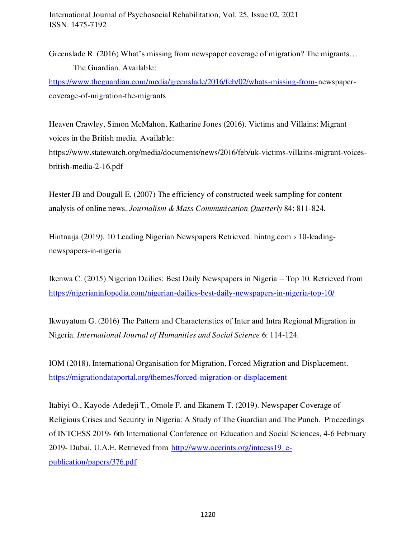Greenslade R. (2016) What's missing from newspaper coverage of migration? The migrants... The Guardian. Available:

https://www.theguardian.com/media/greenslade/2016/feb/02/whats-missing-from- newspapercoverage-of-migration-the-migrants

Heaven Crawley, Simon McMahon, Katharine Jones (2016). Victims and Villains: Migrant voices in the British media. Available: https://www.statewatch.org/media/documents/news/2016/feb/uk-victims-villains-migrant-voicesbritish-media-2-16.pdf

Hester JB and Dougall E. (2007) The efficiency of constructed week sampling for content analysis of online news. *Journalism & Mass Communication Quarterly* 84: 811-824.

Hintnaija (2019). 10 Leading Nigerian Newspapers Retrieved: hintng.com › 10-leadingnewspapers-in-nigeria

Ikenwa C. (2015) Nigerian Dailies: Best Daily Newspapers in Nigeria – Top 10. Retrieved from https://nigerianinfopedia.com/nigerian-dailies-best-daily-newspapers-in-nigeria-top-10/

Ikwuyatum G. (2016) The Pattern and Characteristics of Inter and Intra Regional Migration in Nigeria. *International Journal of Humanities and Social Science* 6: 114-124.

IOM (2018). International Organisation for Migration. Forced Migration and Displacement. https://migrationdataportal.org/themes/forced-migration-or-displacement

Itabiyi O., Kayode-Adedeji T., Omole F. and Ekanem T. (2019). Newspaper Coverage of Religious Crises and Security in Nigeria: A Study of The Guardian and The Punch. Proceedings of INTCESS 2019- 6th International Conference on Education and Social Sciences, 4-6 February 2019- Dubai, U.A.E. Retrieved from http://www.ocerints.org/intcess19\_epublication/papers/376.pdf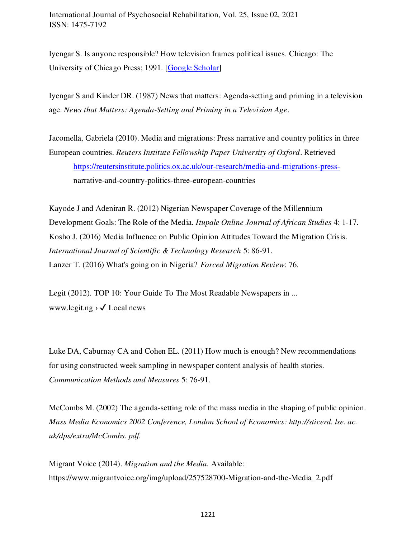Iyengar S. Is anyone responsible? How television frames political issues. Chicago: The University of Chicago Press; 1991. [Google Scholar]

Iyengar S and Kinder DR. (1987) News that matters: Agenda-setting and priming in a television age. *News that Matters: Agenda-Setting and Priming in a Television Age*.

Jacomella, Gabriela (2010). Media and migrations: Press narrative and country politics in three European countries. *Reuters Institute Fellowship Paper University of Oxford*. Retrieved [https://reutersinstitute.politics.ox.ac.uk/our-research/media-and-migrations-press](https://reutersinstitute.politics.ox.ac.uk/our-research/media-and-migrations-press-) narrative-and-country-politics-three-european-countries

Kayode J and Adeniran R. (2012) Nigerian Newspaper Coverage of the Millennium Development Goals: The Role of the Media. *Itupale Online Journal of African Studies* 4: 1-17. Kosho J. (2016) Media Influence on Public Opinion Attitudes Toward the Migration Crisis. *International Journal of Scientific & Technology Research* 5: 86-91. Lanzer T. (2016) What's going on in Nigeria? *Forced Migration Review*: 76.

Legit (2012). TOP 10: Your Guide To The Most Readable Newspapers in ... www.legit.ng  $\rightarrow \sqrt{2}$  Local news

Luke DA, Caburnay CA and Cohen EL. (2011) How much is enough? New recommendations for using constructed week sampling in newspaper content analysis of health stories. *Communication Methods and Measures* 5: 76-91.

McCombs M. (2002) The agenda-setting role of the mass media in the shaping of public opinion. *Mass Media Economics 2002 Conference, London School of Economics: http://sticerd. lse. ac. uk/dps/extra/McCombs. pdf.* 

Migrant Voice (2014). *Migration and the Media.* Available: https://www.migrantvoice.org/img/upload/257528700-Migration-and-the-Media\_2.pdf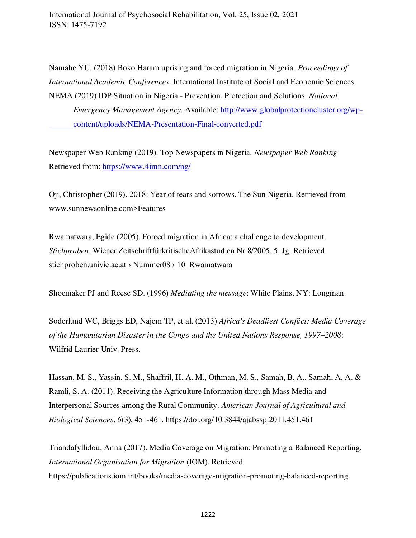Namahe YU. (2018) Boko Haram uprising and forced migration in Nigeria. *Proceedings of International Academic Conferences.* International Institute of Social and Economic Sciences. NEMA (2019) IDP Situation in Nigeria - Prevention, Protection and Solutions. *National* 

 *Emergency Management Agency.* Available: http://www.globalprotectioncluster.org/wp content/uploads/NEMA-Presentation-Final-converted.pdf

Newspaper Web Ranking (2019). Top Newspapers in Nigeria. *Newspaper Web Ranking* Retrieved from:<https://www.4imn.com/ng/>

Oji, Christopher (2019). 2018: Year of tears and sorrows. The Sun Nigeria. Retrieved from www.sunnewsonline.com>Features

Rwamatwara, Egide (2005). Forced migration in Africa: a challenge to development. *Stichproben*. Wiener ZeitschriftfürkritischeAfrikastudien Nr.8/2005, 5. Jg. Retrieved stichproben.univie.ac.at > Nummer08 > 10\_Rwamatwara

Shoemaker PJ and Reese SD. (1996) *Mediating the message*: White Plains, NY: Longman.

Soderlund WC, Briggs ED, Najem TP, et al. (2013) *Africa's Deadliest Conflict: Media Coverage of the Humanitarian Disaster in the Congo and the United Nations Response, 1997–2008*: Wilfrid Laurier Univ. Press.

Hassan, M. S., Yassin, S. M., Shaffril, H. A. M., Othman, M. S., Samah, B. A., Samah, A. A. & Ramli, S. A. (2011). Receiving the Agriculture Information through Mass Media and Interpersonal Sources among the Rural Community. *American Journal of Agricultural and Biological Sciences*, *6*(3), 451-461. https://doi.org/10.3844/ajabssp.2011.451.461

Triandafyllidou, Anna (2017). Media Coverage on Migration: Promoting a Balanced Reporting. *International Organisation for Migration* (IOM). Retrieved https://publications.iom.int/books/media-coverage-migration-promoting-balanced-reporting